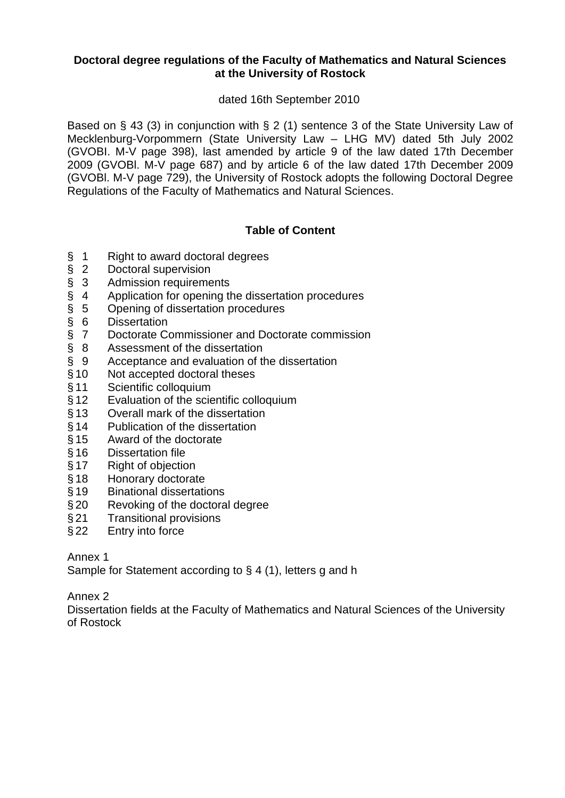# **Doctoral degree regulations of the Faculty of Mathematics and Natural Sciences at the University of Rostock**

# dated 16th September 2010

Based on § 43 (3) in conjunction with § 2 (1) sentence 3 of the State University Law of Mecklenburg-Vorpommern (State University Law – LHG MV) dated 5th July 2002 (GVOBI. M-V page 398), last amended by article 9 of the law dated 17th December 2009 (GVOBl. M-V page 687) and by article 6 of the law dated 17th December 2009 (GVOBl. M-V page 729), the University of Rostock adopts the following Doctoral Degree Regulations of the Faculty of Mathematics and Natural Sciences.

# **Table of Content**

- § 1 Right to award doctoral degrees<br>§ 2 Doctoral supervision<br>§ 3 Admission requirements
- 2 Doctoral supervision
- 
- § 4 Application for opening the dissertation procedures
- § 3 Admission requirements<br>§ 4 Application for opening th<br>§ 5 Opening of dissertation p<br>§ 6 Dissertation § 5 Opening of dissertation procedures
- 
- § 6 Dissertation<br>§ 7 Doctorate Co § 7 Doctorate Commissioner and Doctorate commission<br>§ 8 Assessment of the dissertation
- 
- § 8 Assessment of the dissertation<br>§ 9 Acceptance and evaluation of the § 9 Acceptance and evaluation of the dissertation
- § 10 Not accepted doctoral theses
- §11 Scientific colloquium
- § 12 Evaluation of the scientific colloquium
- § 13 Overall mark of the dissertation
- § 14 Publication of the dissertation
- § 15 Award of the doctorate
- § 16 Dissertation file
- § 17 Right of objection<br>§ 18 Honorary doctorat
- Honorary doctorate
- §19 Binational dissertations
- § 20 Revoking of the doctoral degree
- § 21 Transitional provisions
- § 22 Entry into force

Annex 1

Sample for Statement according to § 4 (1), letters g and h

Annex 2

Dissertation fields at the Faculty of Mathematics and Natural Sciences of the University of Rostock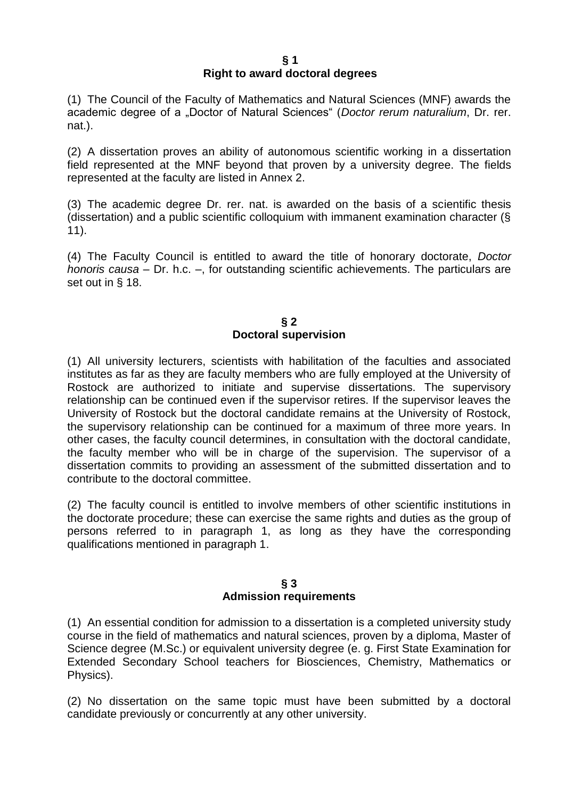#### **§ 1 Right to award doctoral degrees**

(1) The Council of the Faculty of Mathematics and Natural Sciences (MNF) awards the academic degree of a "Doctor of Natural Sciences" (*Doctor rerum naturalium*, Dr. rer. nat.).

(2) A dissertation proves an ability of autonomous scientific working in a dissertation field represented at the MNF beyond that proven by a university degree. The fields represented at the faculty are listed in Annex 2.

(3) The academic degree Dr. rer. nat. is awarded on the basis of a scientific thesis (dissertation) and a public scientific colloquium with immanent examination character (§ 11).

(4) The Faculty Council is entitled to award the title of honorary doctorate, *Doctor honoris causa* – Dr. h.c. –, for outstanding scientific achievements. The particulars are set out in § 18.

### **§ 2 Doctoral supervision**

(1) All university lecturers, scientists with habilitation of the faculties and associated institutes as far as they are faculty members who are fully employed at the University of Rostock are authorized to initiate and supervise dissertations. The supervisory relationship can be continued even if the supervisor retires. If the supervisor leaves the University of Rostock but the doctoral candidate remains at the University of Rostock, the supervisory relationship can be continued for a maximum of three more years. In other cases, the faculty council determines, in consultation with the doctoral candidate, the faculty member who will be in charge of the supervision. The supervisor of a dissertation commits to providing an assessment of the submitted dissertation and to contribute to the doctoral committee.

(2) The faculty council is entitled to involve members of other scientific institutions in the doctorate procedure; these can exercise the same rights and duties as the group of persons referred to in paragraph 1, as long as they have the corresponding qualifications mentioned in paragraph 1.

### **§ 3 Admission requirements**

(1) An essential condition for admission to a dissertation is a completed university study course in the field of mathematics and natural sciences, proven by a diploma, Master of Science degree (M.Sc.) or equivalent university degree (e. g. First State Examination for Extended Secondary School teachers for Biosciences, Chemistry, Mathematics or Physics).

(2) No dissertation on the same topic must have been submitted by a doctoral candidate previously or concurrently at any other university.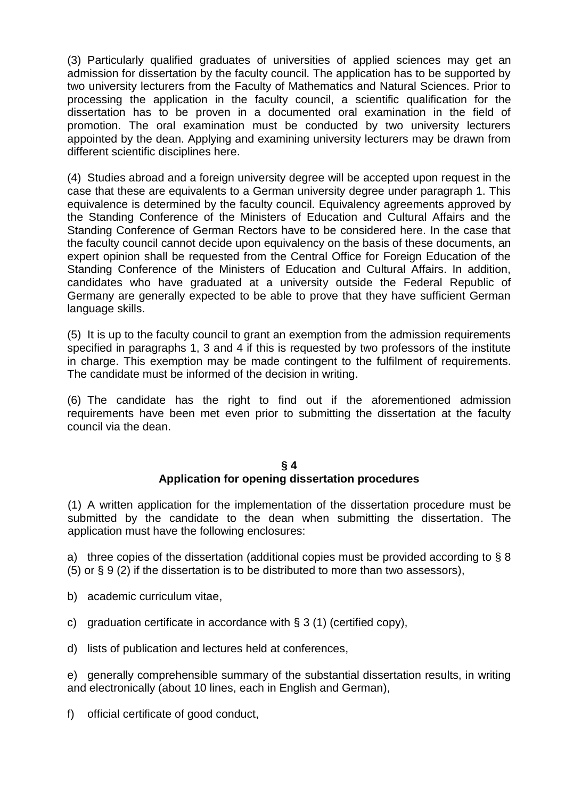(3) Particularly qualified graduates of universities of applied sciences may get an admission for dissertation by the faculty council. The application has to be supported by two university lecturers from the Faculty of Mathematics and Natural Sciences. Prior to processing the application in the faculty council, a scientific qualification for the dissertation has to be proven in a documented oral examination in the field of promotion. The oral examination must be conducted by two university lecturers appointed by the dean. Applying and examining university lecturers may be drawn from different scientific disciplines here.

(4) Studies abroad and a foreign university degree will be accepted upon request in the case that these are equivalents to a German university degree under paragraph 1. This equivalence is determined by the faculty council. Equivalency agreements approved by the Standing Conference of the Ministers of Education and Cultural Affairs and the Standing Conference of German Rectors have to be considered here. In the case that the faculty council cannot decide upon equivalency on the basis of these documents, an expert opinion shall be requested from the Central Office for Foreign Education of the Standing Conference of the Ministers of Education and Cultural Affairs. In addition, candidates who have graduated at a university outside the Federal Republic of Germany are generally expected to be able to prove that they have sufficient German language skills.

(5) It is up to the faculty council to grant an exemption from the admission requirements specified in paragraphs 1, 3 and 4 if this is requested by two professors of the institute in charge. This exemption may be made contingent to the fulfilment of requirements. The candidate must be informed of the decision in writing.

(6) The candidate has the right to find out if the aforementioned admission requirements have been met even prior to submitting the dissertation at the faculty council via the dean.

### **§ 4 Application for opening dissertation procedures**

(1) A written application for the implementation of the dissertation procedure must be submitted by the candidate to the dean when submitting the dissertation. The application must have the following enclosures:

a) three copies of the dissertation (additional copies must be provided according to § 8 (5) or § 9 (2) if the dissertation is to be distributed to more than two assessors),

- b) academic curriculum vitae,
- c) graduation certificate in accordance with  $\S 3$  (1) (certified copy),
- d) lists of publication and lectures held at conferences,

e) generally comprehensible summary of the substantial dissertation results, in writing and electronically (about 10 lines, each in English and German),

f) official certificate of good conduct,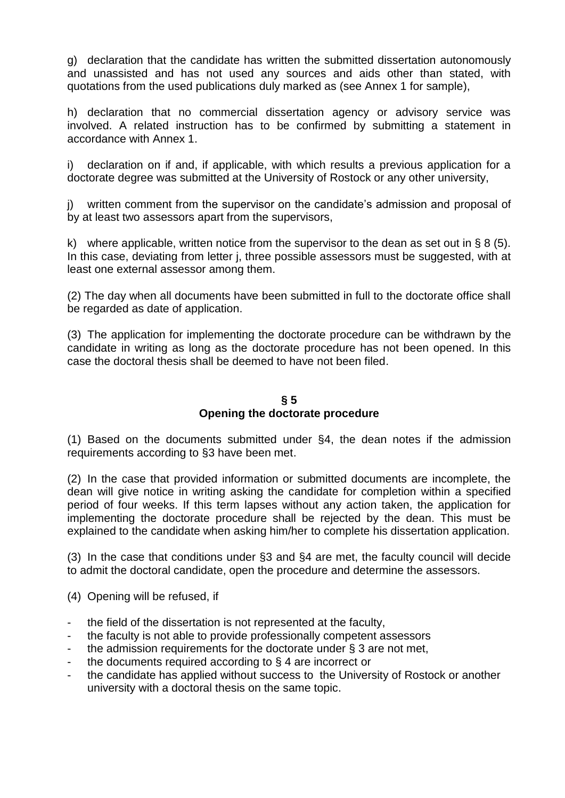g) declaration that the candidate has written the submitted dissertation autonomously and unassisted and has not used any sources and aids other than stated, with quotations from the used publications duly marked as (see Annex 1 for sample),

h) declaration that no commercial dissertation agency or advisory service was involved. A related instruction has to be confirmed by submitting a statement in accordance with Annex 1.

i) declaration on if and, if applicable, with which results a previous application for a doctorate degree was submitted at the University of Rostock or any other university,

j) written comment from the supervisor on the candidate's admission and proposal of by at least two assessors apart from the supervisors,

k) where applicable, written notice from the supervisor to the dean as set out in  $\S 8$  (5). In this case, deviating from letter i, three possible assessors must be suggested, with at least one external assessor among them.

(2) The day when all documents have been submitted in full to the doctorate office shall be regarded as date of application.

(3) The application for implementing the doctorate procedure can be withdrawn by the candidate in writing as long as the doctorate procedure has not been opened. In this case the doctoral thesis shall be deemed to have not been filed.

### **§ 5 Opening the doctorate procedure**

(1) Based on the documents submitted under §4, the dean notes if the admission requirements according to §3 have been met.

(2) In the case that provided information or submitted documents are incomplete, the dean will give notice in writing asking the candidate for completion within a specified period of four weeks. If this term lapses without any action taken, the application for implementing the doctorate procedure shall be rejected by the dean. This must be explained to the candidate when asking him/her to complete his dissertation application.

(3) In the case that conditions under §3 and §4 are met, the faculty council will decide to admit the doctoral candidate, open the procedure and determine the assessors.

(4) Opening will be refused, if

- the field of the dissertation is not represented at the faculty,
- the faculty is not able to provide professionally competent assessors
- the admission requirements for the doctorate under  $\S$  3 are not met,
- the documents required according to  $\S$  4 are incorrect or
- the candidate has applied without success to the University of Rostock or another university with a doctoral thesis on the same topic.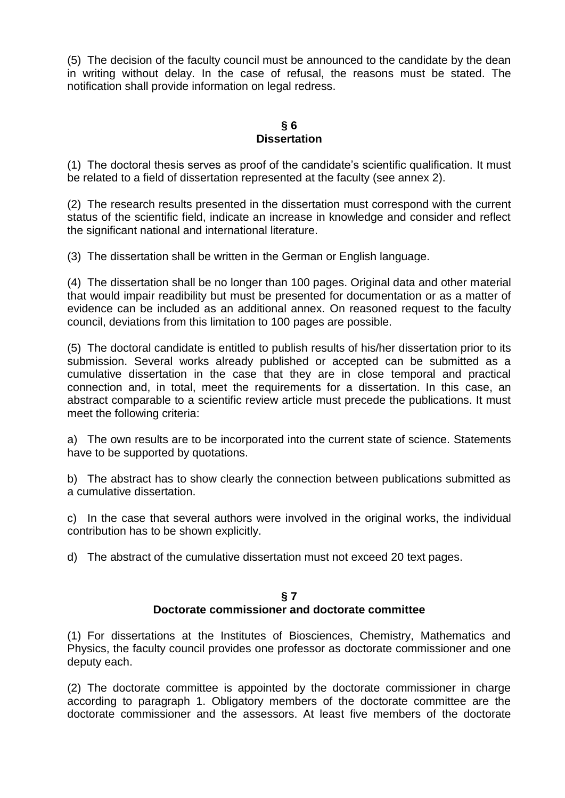(5) The decision of the faculty council must be announced to the candidate by the dean in writing without delay. In the case of refusal, the reasons must be stated. The notification shall provide information on legal redress.

#### **§ 6 Dissertation**

(1) The doctoral thesis serves as proof of the candidate's scientific qualification. It must be related to a field of dissertation represented at the faculty (see annex 2).

(2) The research results presented in the dissertation must correspond with the current status of the scientific field, indicate an increase in knowledge and consider and reflect the significant national and international literature.

(3) The dissertation shall be written in the German or English language.

(4) The dissertation shall be no longer than 100 pages. Original data and other material that would impair readibility but must be presented for documentation or as a matter of evidence can be included as an additional annex. On reasoned request to the faculty council, deviations from this limitation to 100 pages are possible.

(5) The doctoral candidate is entitled to publish results of his/her dissertation prior to its submission. Several works already published or accepted can be submitted as a cumulative dissertation in the case that they are in close temporal and practical connection and, in total, meet the requirements for a dissertation. In this case, an abstract comparable to a scientific review article must precede the publications. It must meet the following criteria:

a) The own results are to be incorporated into the current state of science. Statements have to be supported by quotations.

b) The abstract has to show clearly the connection between publications submitted as a cumulative dissertation.

c) In the case that several authors were involved in the original works, the individual contribution has to be shown explicitly.

d) The abstract of the cumulative dissertation must not exceed 20 text pages.

#### **§ 7 Doctorate commissioner and doctorate committee**

(1) For dissertations at the Institutes of Biosciences, Chemistry, Mathematics and Physics, the faculty council provides one professor as doctorate commissioner and one deputy each.

(2) The doctorate committee is appointed by the doctorate commissioner in charge according to paragraph 1. Obligatory members of the doctorate committee are the doctorate commissioner and the assessors. At least five members of the doctorate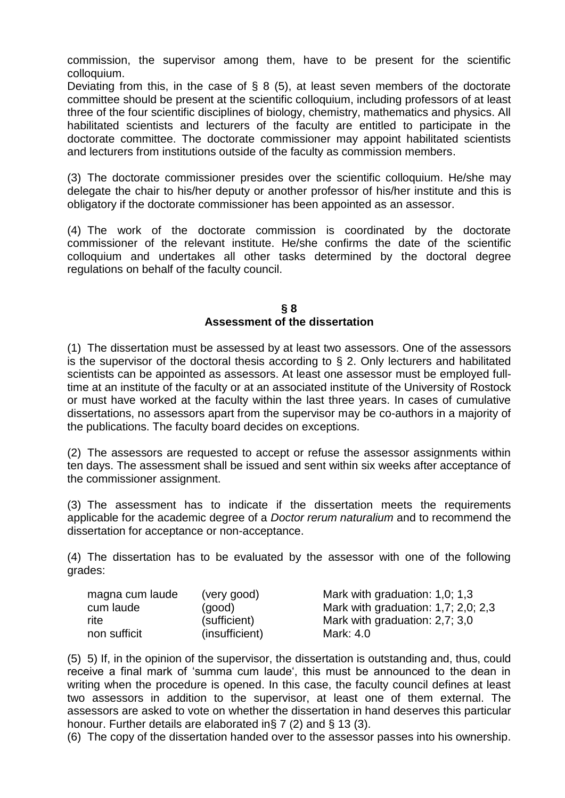commission, the supervisor among them, have to be present for the scientific colloquium.

Deviating from this, in the case of  $\S$  8 (5), at least seven members of the doctorate committee should be present at the scientific colloquium, including professors of at least three of the four scientific disciplines of biology, chemistry, mathematics and physics. All habilitated scientists and lecturers of the faculty are entitled to participate in the doctorate committee. The doctorate commissioner may appoint habilitated scientists and lecturers from institutions outside of the faculty as commission members.

(3) The doctorate commissioner presides over the scientific colloquium. He/she may delegate the chair to his/her deputy or another professor of his/her institute and this is obligatory if the doctorate commissioner has been appointed as an assessor.

(4) The work of the doctorate commission is coordinated by the doctorate commissioner of the relevant institute. He/she confirms the date of the scientific colloquium and undertakes all other tasks determined by the doctoral degree regulations on behalf of the faculty council.

### **§ 8 Assessment of the dissertation**

(1) The dissertation must be assessed by at least two assessors. One of the assessors is the supervisor of the doctoral thesis according to  $\S$  2. Only lecturers and habilitated scientists can be appointed as assessors. At least one assessor must be employed fulltime at an institute of the faculty or at an associated institute of the University of Rostock or must have worked at the faculty within the last three years. In cases of cumulative dissertations, no assessors apart from the supervisor may be co-authors in a majority of the publications. The faculty board decides on exceptions.

(2) The assessors are requested to accept or refuse the assessor assignments within ten days. The assessment shall be issued and sent within six weeks after acceptance of the commissioner assignment.

(3) The assessment has to indicate if the dissertation meets the requirements applicable for the academic degree of a *Doctor rerum naturalium* and to recommend the dissertation for acceptance or non-acceptance.

(4) The dissertation has to be evaluated by the assessor with one of the following grades:

| magna cum laude | (very good)    | Mark with graduation: 1,0; 1,3              |
|-----------------|----------------|---------------------------------------------|
| cum laude       | (qood)         | Mark with graduation: $1,7$ ; $2,0$ ; $2,3$ |
| rite            | (sufficient)   | Mark with graduation: 2,7; 3,0              |
| non sufficit    | (insufficient) | Mark: 4.0                                   |

(5) 5) If, in the opinion of the supervisor, the dissertation is outstanding and, thus, could receive a final mark of 'summa cum laude', this must be announced to the dean in writing when the procedure is opened. In this case, the faculty council defines at least two assessors in addition to the supervisor, at least one of them external. The assessors are asked to vote on whether the dissertation in hand deserves this particular honour. Further details are elaborated in§ 7 (2) and § 13 (3).

(6) The copy of the dissertation handed over to the assessor passes into his ownership.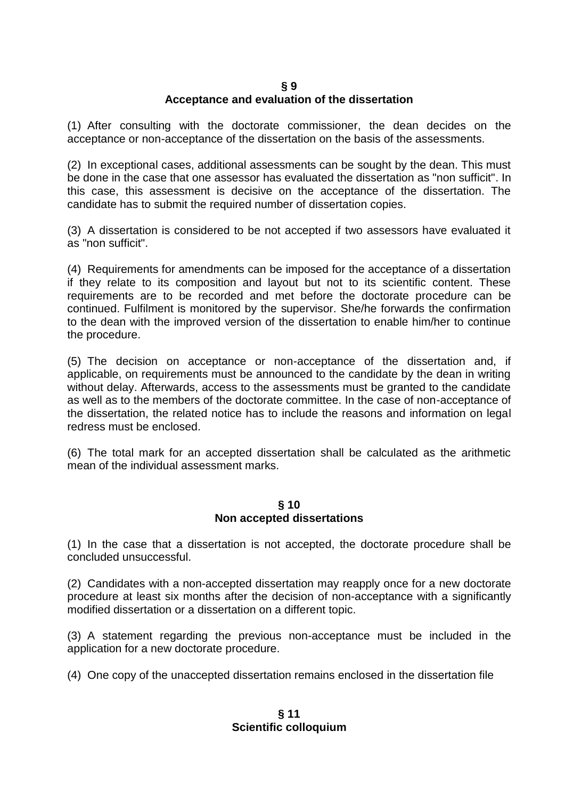#### **§ 9 Acceptance and evaluation of the dissertation**

(1) After consulting with the doctorate commissioner, the dean decides on the acceptance or non-acceptance of the dissertation on the basis of the assessments.

(2) In exceptional cases, additional assessments can be sought by the dean. This must be done in the case that one assessor has evaluated the dissertation as "non sufficit". In this case, this assessment is decisive on the acceptance of the dissertation. The candidate has to submit the required number of dissertation copies.

(3) A dissertation is considered to be not accepted if two assessors have evaluated it as "non sufficit".

(4) Requirements for amendments can be imposed for the acceptance of a dissertation if they relate to its composition and layout but not to its scientific content. These requirements are to be recorded and met before the doctorate procedure can be continued. Fulfilment is monitored by the supervisor. She/he forwards the confirmation to the dean with the improved version of the dissertation to enable him/her to continue the procedure.

(5) The decision on acceptance or non-acceptance of the dissertation and, if applicable, on requirements must be announced to the candidate by the dean in writing without delay. Afterwards, access to the assessments must be granted to the candidate as well as to the members of the doctorate committee. In the case of non-acceptance of the dissertation, the related notice has to include the reasons and information on legal redress must be enclosed.

(6) The total mark for an accepted dissertation shall be calculated as the arithmetic mean of the individual assessment marks.

### **§ 10 Non accepted dissertations**

(1) In the case that a dissertation is not accepted, the doctorate procedure shall be concluded unsuccessful.

(2) Candidates with a non-accepted dissertation may reapply once for a new doctorate procedure at least six months after the decision of non-acceptance with a significantly modified dissertation or a dissertation on a different topic.

(3) A statement regarding the previous non-acceptance must be included in the application for a new doctorate procedure.

(4) One copy of the unaccepted dissertation remains enclosed in the dissertation file

**§ 11 Scientific colloquium**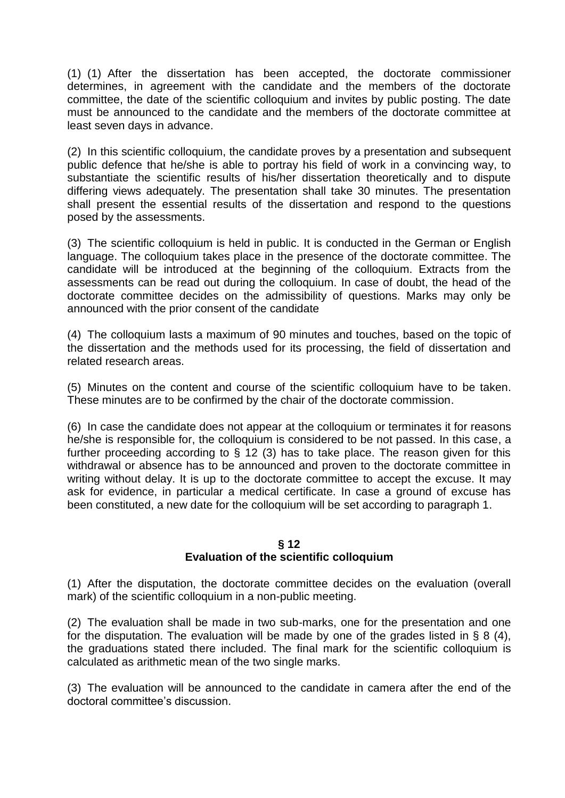(1) (1) After the dissertation has been accepted, the doctorate commissioner determines, in agreement with the candidate and the members of the doctorate committee, the date of the scientific colloquium and invites by public posting. The date must be announced to the candidate and the members of the doctorate committee at least seven days in advance.

(2) In this scientific colloquium, the candidate proves by a presentation and subsequent public defence that he/she is able to portray his field of work in a convincing way, to substantiate the scientific results of his/her dissertation theoretically and to dispute differing views adequately. The presentation shall take 30 minutes. The presentation shall present the essential results of the dissertation and respond to the questions posed by the assessments.

(3) The scientific colloquium is held in public. It is conducted in the German or English language. The colloquium takes place in the presence of the doctorate committee. The candidate will be introduced at the beginning of the colloquium. Extracts from the assessments can be read out during the colloquium. In case of doubt, the head of the doctorate committee decides on the admissibility of questions. Marks may only be announced with the prior consent of the candidate

(4) The colloquium lasts a maximum of 90 minutes and touches, based on the topic of the dissertation and the methods used for its processing, the field of dissertation and related research areas.

(5) Minutes on the content and course of the scientific colloquium have to be taken. These minutes are to be confirmed by the chair of the doctorate commission.

(6) In case the candidate does not appear at the colloquium or terminates it for reasons he/she is responsible for, the colloquium is considered to be not passed. In this case, a further proceeding according to § 12 (3) has to take place. The reason given for this withdrawal or absence has to be announced and proven to the doctorate committee in writing without delay. It is up to the doctorate committee to accept the excuse. It may ask for evidence, in particular a medical certificate. In case a ground of excuse has been constituted, a new date for the colloquium will be set according to paragraph 1.

#### **§ 12**

### **Evaluation of the scientific colloquium**

(1) After the disputation, the doctorate committee decides on the evaluation (overall mark) of the scientific colloquium in a non-public meeting.

(2) The evaluation shall be made in two sub-marks, one for the presentation and one for the disputation. The evaluation will be made by one of the grades listed in § 8 (4), the graduations stated there included. The final mark for the scientific colloquium is calculated as arithmetic mean of the two single marks.

(3) The evaluation will be announced to the candidate in camera after the end of the doctoral committee's discussion.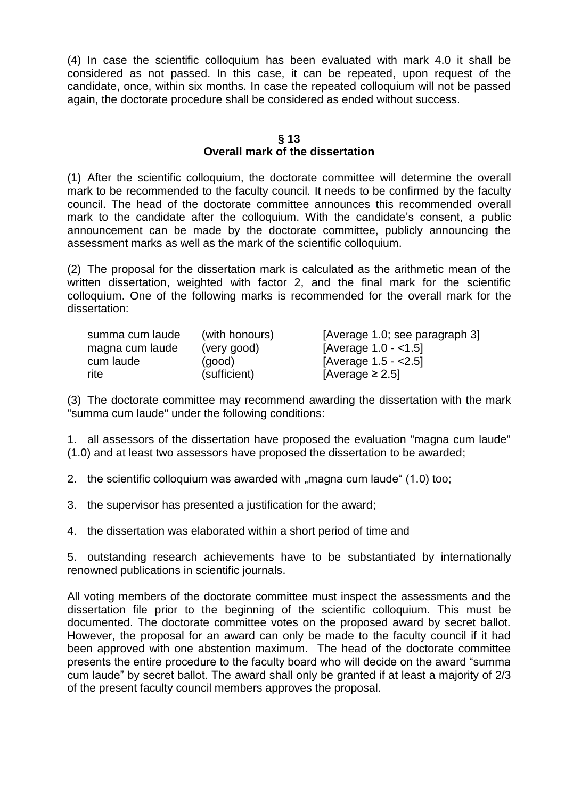(4) In case the scientific colloquium has been evaluated with mark 4.0 it shall be considered as not passed. In this case, it can be repeated, upon request of the candidate, once, within six months. In case the repeated colloquium will not be passed again, the doctorate procedure shall be considered as ended without success.

### **§ 13 Overall mark of the dissertation**

(1) After the scientific colloquium, the doctorate committee will determine the overall mark to be recommended to the faculty council. It needs to be confirmed by the faculty council. The head of the doctorate committee announces this recommended overall mark to the candidate after the colloquium. With the candidate's consent, a public announcement can be made by the doctorate committee, publicly announcing the assessment marks as well as the mark of the scientific colloquium.

(2) The proposal for the dissertation mark is calculated as the arithmetic mean of the written dissertation, weighted with factor 2, and the final mark for the scientific colloquium. One of the following marks is recommended for the overall mark for the dissertation:

| summa cum laude | (with honours) | [Average 1.0; see paragraph 3] |
|-----------------|----------------|--------------------------------|
| magna cum laude | (very good)    | [Average $1.0 - 1.5$ ]         |
| cum laude       | (qood)         | [Average $1.5 - < 2.5$ ]       |
| rite            | (sufficient)   | [Average $\ge$ 2.5]            |

(3) The doctorate committee may recommend awarding the dissertation with the mark "summa cum laude" under the following conditions:

1. all assessors of the dissertation have proposed the evaluation "magna cum laude" (1.0) and at least two assessors have proposed the dissertation to be awarded;

2. the scientific colloquium was awarded with "magna cum laude" (1.0) too;

3. the supervisor has presented a justification for the award;

4. the dissertation was elaborated within a short period of time and

5. outstanding research achievements have to be substantiated by internationally renowned publications in scientific journals.

All voting members of the doctorate committee must inspect the assessments and the dissertation file prior to the beginning of the scientific colloquium. This must be documented. The doctorate committee votes on the proposed award by secret ballot. However, the proposal for an award can only be made to the faculty council if it had been approved with one abstention maximum. The head of the doctorate committee presents the entire procedure to the faculty board who will decide on the award "summa cum laude" by secret ballot. The award shall only be granted if at least a majority of 2/3 of the present faculty council members approves the proposal.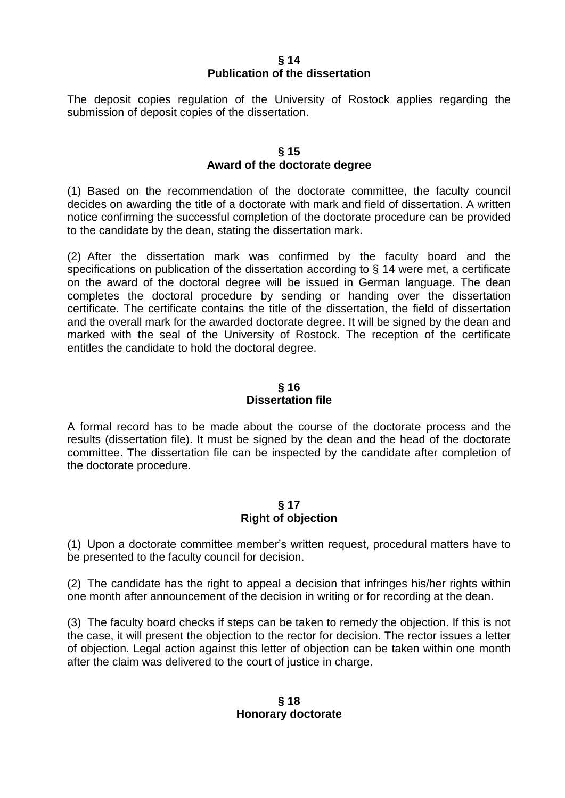### **§ 14 Publication of the dissertation**

The deposit copies regulation of the University of Rostock applies regarding the submission of deposit copies of the dissertation.

### **§ 15 Award of the doctorate degree**

(1) Based on the recommendation of the doctorate committee, the faculty council decides on awarding the title of a doctorate with mark and field of dissertation. A written notice confirming the successful completion of the doctorate procedure can be provided to the candidate by the dean, stating the dissertation mark.

(2) After the dissertation mark was confirmed by the faculty board and the specifications on publication of the dissertation according to § 14 were met, a certificate on the award of the doctoral degree will be issued in German language. The dean completes the doctoral procedure by sending or handing over the dissertation certificate. The certificate contains the title of the dissertation, the field of dissertation and the overall mark for the awarded doctorate degree. It will be signed by the dean and marked with the seal of the University of Rostock. The reception of the certificate entitles the candidate to hold the doctoral degree.

# **§ 16 Dissertation file**

A formal record has to be made about the course of the doctorate process and the results (dissertation file). It must be signed by the dean and the head of the doctorate committee. The dissertation file can be inspected by the candidate after completion of the doctorate procedure.

### **§ 17 Right of objection**

(1) Upon a doctorate committee member's written request, procedural matters have to be presented to the faculty council for decision.

(2) The candidate has the right to appeal a decision that infringes his/her rights within one month after announcement of the decision in writing or for recording at the dean.

(3) The faculty board checks if steps can be taken to remedy the objection. If this is not the case, it will present the objection to the rector for decision. The rector issues a letter of objection. Legal action against this letter of objection can be taken within one month after the claim was delivered to the court of justice in charge.

### **§ 18 Honorary doctorate**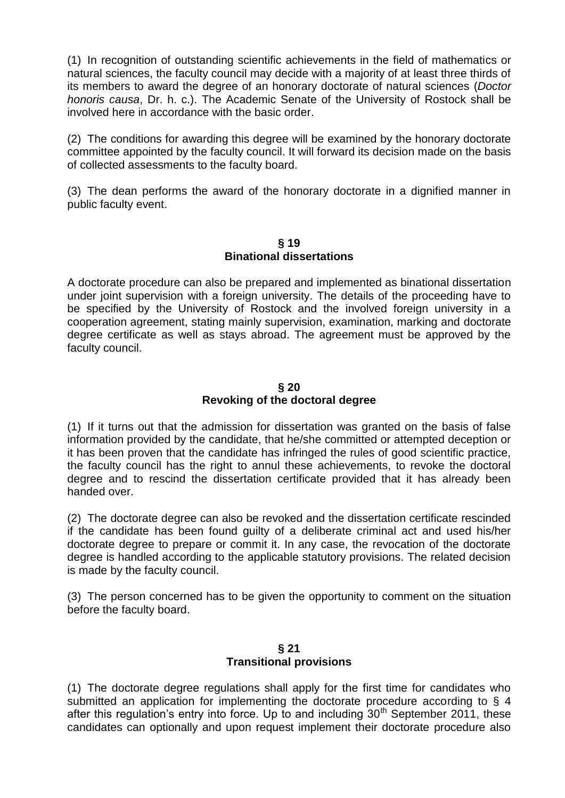(1) In recognition of outstanding scientific achievements in the field of mathematics or natural sciences, the faculty council may decide with a majority of at least three thirds of its members to award the degree of an honorary doctorate of natural sciences (*Doctor honoris causa*, Dr. h. c.). The Academic Senate of the University of Rostock shall be involved here in accordance with the basic order.

(2) The conditions for awarding this degree will be examined by the honorary doctorate committee appointed by the faculty council. It will forward its decision made on the basis of collected assessments to the faculty board.

(3) The dean performs the award of the honorary doctorate in a dignified manner in public faculty event.

#### **§ 19 Binational dissertations**

A doctorate procedure can also be prepared and implemented as binational dissertation under joint supervision with a foreign university. The details of the proceeding have to be specified by the University of Rostock and the involved foreign university in a cooperation agreement, stating mainly supervision, examination, marking and doctorate degree certificate as well as stays abroad. The agreement must be approved by the faculty council.

# **§ 20 Revoking of the doctoral degree**

(1) If it turns out that the admission for dissertation was granted on the basis of false information provided by the candidate, that he/she committed or attempted deception or it has been proven that the candidate has infringed the rules of good scientific practice, the faculty council has the right to annul these achievements, to revoke the doctoral degree and to rescind the dissertation certificate provided that it has already been handed over.

(2) The doctorate degree can also be revoked and the dissertation certificate rescinded if the candidate has been found guilty of a deliberate criminal act and used his/her doctorate degree to prepare or commit it. In any case, the revocation of the doctorate degree is handled according to the applicable statutory provisions. The related decision is made by the faculty council.

(3) The person concerned has to be given the opportunity to comment on the situation before the faculty board.

# **§ 21 Transitional provisions**

(1) The doctorate degree regulations shall apply for the first time for candidates who submitted an application for implementing the doctorate procedure according to § 4 after this regulation's entry into force. Up to and including  $30<sup>th</sup>$  September 2011, these candidates can optionally and upon request implement their doctorate procedure also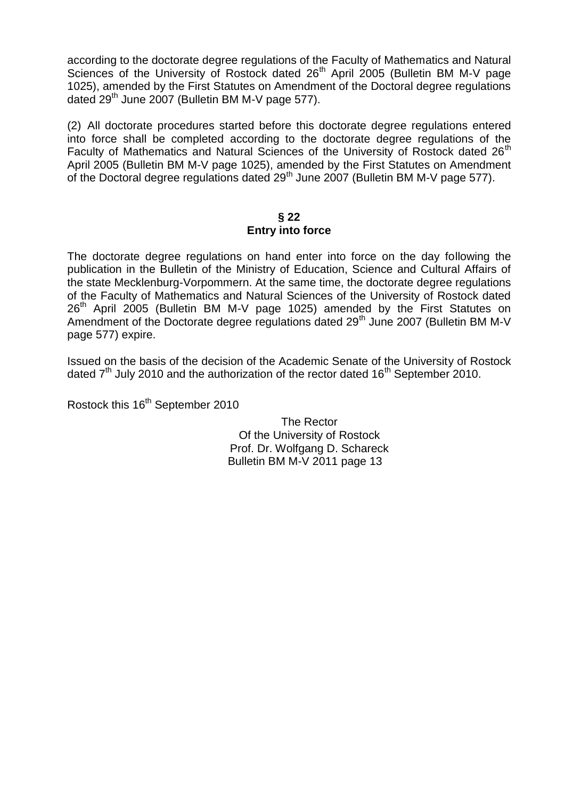according to the doctorate degree regulations of the Faculty of Mathematics and Natural Sciences of the University of Rostock dated 26<sup>th</sup> April 2005 (Bulletin BM M-V page 1025), amended by the First Statutes on Amendment of the Doctoral degree regulations dated  $29<sup>th</sup>$  June 2007 (Bulletin BM M-V page 577).

(2) All doctorate procedures started before this doctorate degree regulations entered into force shall be completed according to the doctorate degree regulations of the Faculty of Mathematics and Natural Sciences of the University of Rostock dated 26<sup>th</sup> April 2005 (Bulletin BM M-V page 1025), amended by the First Statutes on Amendment of the Doctoral degree regulations dated  $29<sup>th</sup>$  June 2007 (Bulletin BM M-V page 577).

# **§ 22 Entry into force**

The doctorate degree regulations on hand enter into force on the day following the publication in the Bulletin of the Ministry of Education, Science and Cultural Affairs of the state Mecklenburg-Vorpommern. At the same time, the doctorate degree regulations of the Faculty of Mathematics and Natural Sciences of the University of Rostock dated 26<sup>th</sup> April 2005 (Bulletin BM M-V page 1025) amended by the First Statutes on Amendment of the Doctorate degree regulations dated  $29<sup>th</sup>$  June 2007 (Bulletin BM M-V page 577) expire.

Issued on the basis of the decision of the Academic Senate of the University of Rostock dated  $7<sup>th</sup>$  July 2010 and the authorization of the rector dated 16<sup>th</sup> September 2010.

Rostock this 16<sup>th</sup> September 2010

The Rector Of the University of Rostock Prof. Dr. Wolfgang D. Schareck Bulletin BM M-V 2011 page 13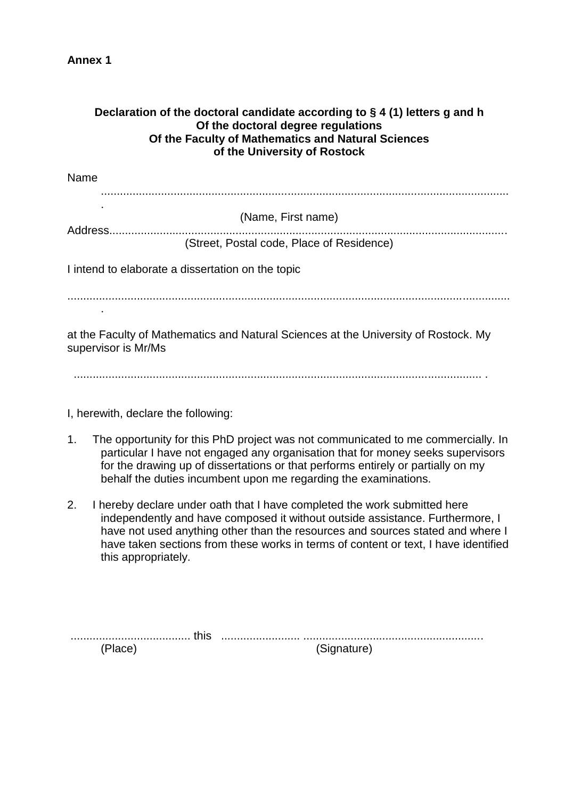**Annex 1** 

| Declaration of the doctoral candidate according to $\S$ 4 (1) letters g and h<br>Of the doctoral degree regulations<br>Of the Faculty of Mathematics and Natural Sciences<br>of the University of Rostock |                                                                                                                                                                                                                                                                                                                            |                                                                                                                                                                                                                                                                                                                                     |  |
|-----------------------------------------------------------------------------------------------------------------------------------------------------------------------------------------------------------|----------------------------------------------------------------------------------------------------------------------------------------------------------------------------------------------------------------------------------------------------------------------------------------------------------------------------|-------------------------------------------------------------------------------------------------------------------------------------------------------------------------------------------------------------------------------------------------------------------------------------------------------------------------------------|--|
| Name                                                                                                                                                                                                      |                                                                                                                                                                                                                                                                                                                            |                                                                                                                                                                                                                                                                                                                                     |  |
|                                                                                                                                                                                                           |                                                                                                                                                                                                                                                                                                                            | (Name, First name)                                                                                                                                                                                                                                                                                                                  |  |
|                                                                                                                                                                                                           |                                                                                                                                                                                                                                                                                                                            | (Street, Postal code, Place of Residence)                                                                                                                                                                                                                                                                                           |  |
|                                                                                                                                                                                                           | I intend to elaborate a dissertation on the topic                                                                                                                                                                                                                                                                          |                                                                                                                                                                                                                                                                                                                                     |  |
|                                                                                                                                                                                                           |                                                                                                                                                                                                                                                                                                                            |                                                                                                                                                                                                                                                                                                                                     |  |
|                                                                                                                                                                                                           | supervisor is Mr/Ms                                                                                                                                                                                                                                                                                                        | at the Faculty of Mathematics and Natural Sciences at the University of Rostock. My                                                                                                                                                                                                                                                 |  |
|                                                                                                                                                                                                           | I, herewith, declare the following:                                                                                                                                                                                                                                                                                        |                                                                                                                                                                                                                                                                                                                                     |  |
| 1.                                                                                                                                                                                                        | The opportunity for this PhD project was not communicated to me commercially. In<br>particular I have not engaged any organisation that for money seeks supervisors<br>for the drawing up of dissertations or that performs entirely or partially on my<br>behalf the duties incumbent upon me regarding the examinations. |                                                                                                                                                                                                                                                                                                                                     |  |
| 2.                                                                                                                                                                                                        | this appropriately.                                                                                                                                                                                                                                                                                                        | I hereby declare under oath that I have completed the work submitted here<br>independently and have composed it without outside assistance. Furthermore, I<br>have not used anything other than the resources and sources stated and where I<br>have taken sections from these works in terms of content or text, I have identified |  |
|                                                                                                                                                                                                           | this<br>(Place)                                                                                                                                                                                                                                                                                                            | (Signature)                                                                                                                                                                                                                                                                                                                         |  |